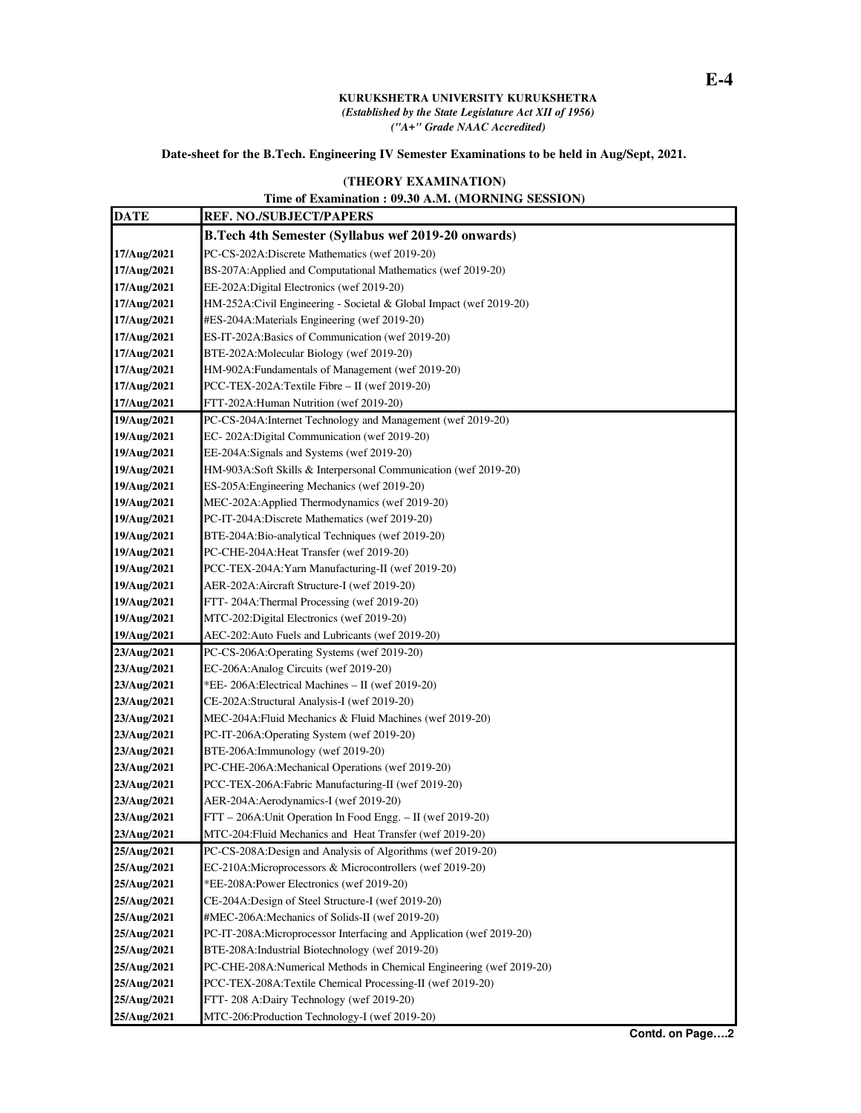## **KURUKSHETRA UNIVERSITY KURUKSHETRA**  *(Established by the State Legislature Act XII of 1956) ("A+" Grade NAAC Accredited)*

## **Date-sheet for the B.Tech. Engineering IV Semester Examinations to be held in Aug/Sept, 2021.**

## **(THEORY EXAMINATION)**

## **Time of Examination : 09.30 A.M. (MORNING SESSION)**

| <b>DATE</b> | <b>REF. NO./SUBJECT/PAPERS</b>                                      |
|-------------|---------------------------------------------------------------------|
|             | B.Tech 4th Semester (Syllabus wef 2019-20 onwards)                  |
| 17/Aug/2021 | PC-CS-202A:Discrete Mathematics (wef 2019-20)                       |
| 17/Aug/2021 | BS-207A: Applied and Computational Mathematics (wef 2019-20)        |
| 17/Aug/2021 | EE-202A:Digital Electronics (wef 2019-20)                           |
| 17/Aug/2021 | HM-252A:Civil Engineering - Societal & Global Impact (wef 2019-20)  |
| 17/Aug/2021 | #ES-204A:Materials Engineering (wef 2019-20)                        |
| 17/Aug/2021 | ES-IT-202A:Basics of Communication (wef 2019-20)                    |
| 17/Aug/2021 | BTE-202A: Molecular Biology (wef 2019-20)                           |
| 17/Aug/2021 | HM-902A: Fundamentals of Management (wef 2019-20)                   |
| 17/Aug/2021 | PCC-TEX-202A:Textile Fibre - II (wef 2019-20)                       |
| 17/Aug/2021 | FTT-202A: Human Nutrition (wef 2019-20)                             |
| 19/Aug/2021 | PC-CS-204A:Internet Technology and Management (wef 2019-20)         |
| 19/Aug/2021 | EC-202A:Digital Communication (wef 2019-20)                         |
| 19/Aug/2021 | EE-204A:Signals and Systems (wef 2019-20)                           |
| 19/Aug/2021 | HM-903A:Soft Skills & Interpersonal Communication (wef 2019-20)     |
| 19/Aug/2021 | ES-205A: Engineering Mechanics (wef 2019-20)                        |
| 19/Aug/2021 | MEC-202A: Applied Thermodynamics (wef 2019-20)                      |
| 19/Aug/2021 | PC-IT-204A:Discrete Mathematics (wef 2019-20)                       |
| 19/Aug/2021 | BTE-204A:Bio-analytical Techniques (wef 2019-20)                    |
| 19/Aug/2021 | PC-CHE-204A:Heat Transfer (wef 2019-20)                             |
| 19/Aug/2021 | PCC-TEX-204A: Yarn Manufacturing-II (wef 2019-20)                   |
| 19/Aug/2021 | AER-202A: Aircraft Structure-I (wef 2019-20)                        |
| 19/Aug/2021 | FTT-204A:Thermal Processing (wef 2019-20)                           |
| 19/Aug/2021 | MTC-202:Digital Electronics (wef 2019-20)                           |
| 19/Aug/2021 | AEC-202: Auto Fuels and Lubricants (wef 2019-20)                    |
| 23/Aug/2021 | PC-CS-206A:Operating Systems (wef 2019-20)                          |
| 23/Aug/2021 | EC-206A: Analog Circuits (wef 2019-20)                              |
| 23/Aug/2021 | *EE-206A:Electrical Machines - II (wef 2019-20)                     |
| 23/Aug/2021 | CE-202A:Structural Analysis-I (wef 2019-20)                         |
| 23/Aug/2021 | MEC-204A: Fluid Mechanics & Fluid Machines (wef 2019-20)            |
| 23/Aug/2021 | PC-IT-206A:Operating System (wef 2019-20)                           |
| 23/Aug/2021 | BTE-206A:Immunology (wef 2019-20)                                   |
| 23/Aug/2021 | PC-CHE-206A:Mechanical Operations (wef 2019-20)                     |
| 23/Aug/2021 | PCC-TEX-206A:Fabric Manufacturing-II (wef 2019-20)                  |
| 23/Aug/2021 | AER-204A:Aerodynamics-I (wef 2019-20)                               |
| 23/Aug/2021 | FTT - 206A: Unit Operation In Food Engg. - II (wef 2019-20)         |
| 23/Aug/2021 | MTC-204: Fluid Mechanics and Heat Transfer (wef 2019-20)            |
| 25/Aug/2021 | PC-CS-208A:Design and Analysis of Algorithms (wef 2019-20)          |
| 25/Aug/2021 | EC-210A:Microprocessors & Microcontrollers (wef 2019-20)            |
| 25/Aug/2021 | *EE-208A: Power Electronics (wef 2019-20)                           |
| 25/Aug/2021 | CE-204A:Design of Steel Structure-I (wef 2019-20)                   |
| 25/Aug/2021 | #MEC-206A:Mechanics of Solids-II (wef 2019-20)                      |
| 25/Aug/2021 | PC-IT-208A:Microprocessor Interfacing and Application (wef 2019-20) |
| 25/Aug/2021 | BTE-208A:Industrial Biotechnology (wef 2019-20)                     |
| 25/Aug/2021 | PC-CHE-208A:Numerical Methods in Chemical Engineering (wef 2019-20) |
| 25/Aug/2021 | PCC-TEX-208A:Textile Chemical Processing-II (wef 2019-20)           |
| 25/Aug/2021 | FTT-208 A:Dairy Technology (wef 2019-20)                            |
| 25/Aug/2021 | MTC-206:Production Technology-I (wef 2019-20)                       |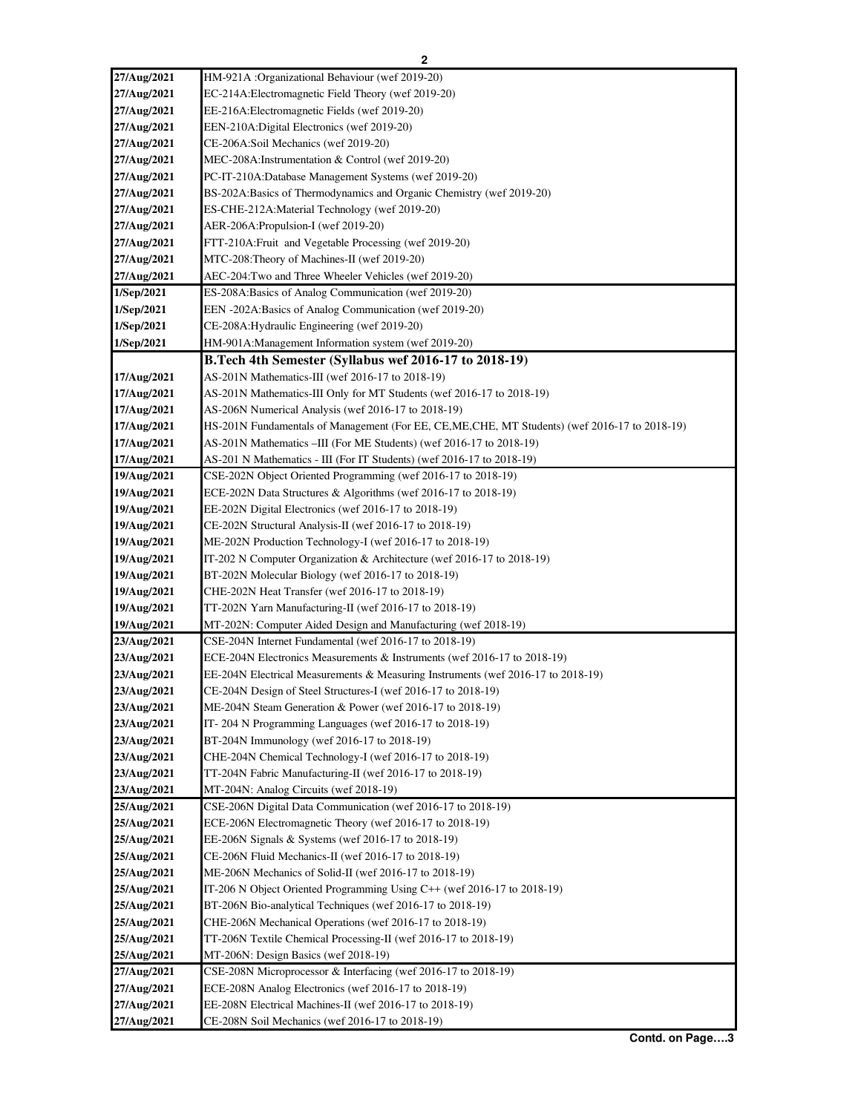| 27/Aug/2021 | HM-921A : Organizational Behaviour (wef 2019-20)                                               |
|-------------|------------------------------------------------------------------------------------------------|
| 27/Aug/2021 | EC-214A:Electromagnetic Field Theory (wef 2019-20)                                             |
| 27/Aug/2021 | EE-216A:Electromagnetic Fields (wef 2019-20)                                                   |
| 27/Aug/2021 | EEN-210A:Digital Electronics (wef 2019-20)                                                     |
| 27/Aug/2021 | CE-206A:Soil Mechanics (wef 2019-20)                                                           |
| 27/Aug/2021 | MEC-208A:Instrumentation & Control (wef 2019-20)                                               |
| 27/Aug/2021 | PC-IT-210A:Database Management Systems (wef 2019-20)                                           |
| 27/Aug/2021 | BS-202A:Basics of Thermodynamics and Organic Chemistry (wef 2019-20)                           |
| 27/Aug/2021 | ES-CHE-212A: Material Technology (wef 2019-20)                                                 |
| 27/Aug/2021 | AER-206A: Propulsion-I (wef 2019-20)                                                           |
| 27/Aug/2021 | FTT-210A: Fruit and Vegetable Processing (wef 2019-20)                                         |
| 27/Aug/2021 | MTC-208: Theory of Machines-II (wef 2019-20)                                                   |
| 27/Aug/2021 | AEC-204:Two and Three Wheeler Vehicles (wef 2019-20)                                           |
| 1/Sep/2021  | ES-208A:Basics of Analog Communication (wef 2019-20)                                           |
| 1/Sep/2021  | EEN -202A:Basics of Analog Communication (wef 2019-20)                                         |
| 1/Sep/2021  | CE-208A: Hydraulic Engineering (wef 2019-20)                                                   |
| 1/Sep/2021  | HM-901A: Management Information system (wef 2019-20)                                           |
|             | B.Tech 4th Semester (Syllabus wef 2016-17 to 2018-19)                                          |
| 17/Aug/2021 | AS-201N Mathematics-III (wef 2016-17 to 2018-19)                                               |
| 17/Aug/2021 | AS-201N Mathematics-III Only for MT Students (wef 2016-17 to 2018-19)                          |
| 17/Aug/2021 | AS-206N Numerical Analysis (wef 2016-17 to 2018-19)                                            |
| 17/Aug/2021 | HS-201N Fundamentals of Management (For EE, CE, ME, CHE, MT Students) (wef 2016-17 to 2018-19) |
| 17/Aug/2021 | AS-201N Mathematics -III (For ME Students) (wef 2016-17 to 2018-19)                            |
| 17/Aug/2021 | AS-201 N Mathematics - III (For IT Students) (wef 2016-17 to 2018-19)                          |
| 19/Aug/2021 | CSE-202N Object Oriented Programming (wef 2016-17 to 2018-19)                                  |
| 19/Aug/2021 | ECE-202N Data Structures & Algorithms (wef 2016-17 to 2018-19)                                 |
| 19/Aug/2021 | EE-202N Digital Electronics (wef 2016-17 to 2018-19)                                           |
| 19/Aug/2021 | CE-202N Structural Analysis-II (wef 2016-17 to 2018-19)                                        |
| 19/Aug/2021 | ME-202N Production Technology-I (wef 2016-17 to 2018-19)                                       |
| 19/Aug/2021 | IT-202 N Computer Organization & Architecture (wef 2016-17 to 2018-19)                         |
| 19/Aug/2021 | BT-202N Molecular Biology (wef 2016-17 to 2018-19)                                             |
| 19/Aug/2021 | CHE-202N Heat Transfer (wef 2016-17 to 2018-19)                                                |
| 19/Aug/2021 | TT-202N Yarn Manufacturing-II (wef 2016-17 to 2018-19)                                         |
| 19/Aug/2021 | MT-202N: Computer Aided Design and Manufacturing (wef 2018-19)                                 |
| 23/Aug/2021 | CSE-204N Internet Fundamental (wef 2016-17 to 2018-19)                                         |
| 23/Aug/2021 | ECE-204N Electronics Measurements & Instruments (wef 2016-17 to 2018-19)                       |
| 23/Aug/2021 | EE-204N Electrical Measurements & Measuring Instruments (wef 2016-17 to 2018-19)               |
| 23/Aug/2021 | CE-204N Design of Steel Structures-I (wef 2016-17 to 2018-19)                                  |
| 23/Aug/2021 | ME-204N Steam Generation & Power (wef 2016-17 to 2018-19)                                      |
| 23/Aug/2021 | IT-204 N Programming Languages (wef 2016-17 to 2018-19)                                        |
| 23/Aug/2021 | BT-204N Immunology (wef 2016-17 to 2018-19)                                                    |
| 23/Aug/2021 | CHE-204N Chemical Technology-I (wef 2016-17 to 2018-19)                                        |
| 23/Aug/2021 | TT-204N Fabric Manufacturing-II (wef 2016-17 to 2018-19)                                       |
| 23/Aug/2021 | MT-204N: Analog Circuits (wef 2018-19)                                                         |
| 25/Aug/2021 | CSE-206N Digital Data Communication (wef 2016-17 to 2018-19)                                   |
| 25/Aug/2021 | ECE-206N Electromagnetic Theory (wef 2016-17 to 2018-19)                                       |
| 25/Aug/2021 | EE-206N Signals & Systems (wef 2016-17 to 2018-19)                                             |
| 25/Aug/2021 | CE-206N Fluid Mechanics-II (wef 2016-17 to 2018-19)                                            |
| 25/Aug/2021 | ME-206N Mechanics of Solid-II (wef 2016-17 to 2018-19)                                         |
| 25/Aug/2021 | IT-206 N Object Oriented Programming Using C++ (wef 2016-17 to 2018-19)                        |
| 25/Aug/2021 | BT-206N Bio-analytical Techniques (wef 2016-17 to 2018-19)                                     |
| 25/Aug/2021 | CHE-206N Mechanical Operations (wef 2016-17 to 2018-19)                                        |
| 25/Aug/2021 | TT-206N Textile Chemical Processing-II (wef 2016-17 to 2018-19)                                |
| 25/Aug/2021 | MT-206N: Design Basics (wef 2018-19)                                                           |
| 27/Aug/2021 | CSE-208N Microprocessor & Interfacing (wef 2016-17 to 2018-19)                                 |
| 27/Aug/2021 | ECE-208N Analog Electronics (wef 2016-17 to 2018-19)                                           |
| 27/Aug/2021 | EE-208N Electrical Machines-II (wef 2016-17 to 2018-19)                                        |
| 27/Aug/2021 | CE-208N Soil Mechanics (wef 2016-17 to 2018-19)                                                |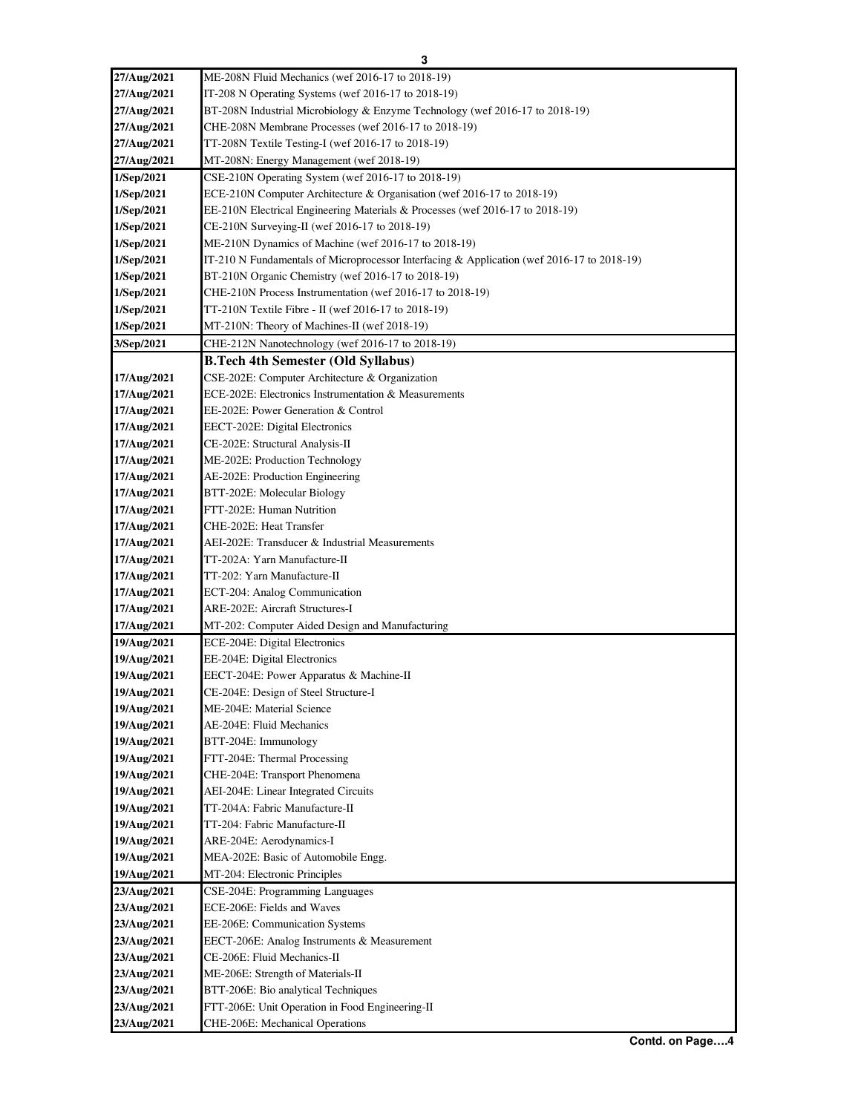| 27/Aug/2021 | ME-208N Fluid Mechanics (wef 2016-17 to 2018-19)                                           |
|-------------|--------------------------------------------------------------------------------------------|
| 27/Aug/2021 | IT-208 N Operating Systems (wef 2016-17 to 2018-19)                                        |
| 27/Aug/2021 | BT-208N Industrial Microbiology & Enzyme Technology (wef 2016-17 to 2018-19)               |
| 27/Aug/2021 | CHE-208N Membrane Processes (wef 2016-17 to 2018-19)                                       |
| 27/Aug/2021 | TT-208N Textile Testing-I (wef 2016-17 to 2018-19)                                         |
| 27/Aug/2021 | MT-208N: Energy Management (wef 2018-19)                                                   |
| 1/Sep/2021  | CSE-210N Operating System (wef 2016-17 to 2018-19)                                         |
| 1/Sep/2021  | ECE-210N Computer Architecture & Organisation (wef 2016-17 to 2018-19)                     |
| 1/Sep/2021  | EE-210N Electrical Engineering Materials & Processes (wef 2016-17 to 2018-19)              |
| 1/Sep/2021  | CE-210N Surveying-II (wef 2016-17 to 2018-19)                                              |
| 1/Sep/2021  | ME-210N Dynamics of Machine (wef 2016-17 to 2018-19)                                       |
| 1/Sep/2021  | IT-210 N Fundamentals of Microprocessor Interfacing & Application (wef 2016-17 to 2018-19) |
| 1/Sep/2021  | BT-210N Organic Chemistry (wef 2016-17 to 2018-19)                                         |
| 1/Sep/2021  | CHE-210N Process Instrumentation (wef 2016-17 to 2018-19)                                  |
| 1/Sep/2021  | TT-210N Textile Fibre - II (wef 2016-17 to 2018-19)                                        |
| 1/Sep/2021  | MT-210N: Theory of Machines-II (wef 2018-19)                                               |
| 3/Sep/2021  | CHE-212N Nanotechnology (wef 2016-17 to 2018-19)                                           |
|             | <b>B.Tech 4th Semester (Old Syllabus)</b>                                                  |
| 17/Aug/2021 | CSE-202E: Computer Architecture & Organization                                             |
| 17/Aug/2021 | ECE-202E: Electronics Instrumentation & Measurements                                       |
| 17/Aug/2021 | EE-202E: Power Generation & Control                                                        |
| 17/Aug/2021 | EECT-202E: Digital Electronics                                                             |
| 17/Aug/2021 | CE-202E: Structural Analysis-II                                                            |
| 17/Aug/2021 | ME-202E: Production Technology                                                             |
| 17/Aug/2021 | AE-202E: Production Engineering                                                            |
| 17/Aug/2021 | BTT-202E: Molecular Biology                                                                |
| 17/Aug/2021 | FTT-202E: Human Nutrition                                                                  |
| 17/Aug/2021 | CHE-202E: Heat Transfer                                                                    |
| 17/Aug/2021 | AEI-202E: Transducer & Industrial Measurements                                             |
| 17/Aug/2021 | TT-202A: Yarn Manufacture-II                                                               |
| 17/Aug/2021 | TT-202: Yarn Manufacture-II                                                                |
| 17/Aug/2021 | ECT-204: Analog Communication                                                              |
| 17/Aug/2021 | ARE-202E: Aircraft Structures-I                                                            |
| 17/Aug/2021 | MT-202: Computer Aided Design and Manufacturing                                            |
| 19/Aug/2021 | ECE-204E: Digital Electronics                                                              |
| 19/Aug/2021 | EE-204E: Digital Electronics                                                               |
| 19/Aug/2021 | EECT-204E: Power Apparatus & Machine-II                                                    |
| 19/Aug/2021 | CE-204E: Design of Steel Structure-I                                                       |
| 19/Aug/2021 | ME-204E: Material Science                                                                  |
| 19/Aug/2021 | AE-204E: Fluid Mechanics                                                                   |
| 19/Aug/2021 | BTT-204E: Immunology                                                                       |
| 19/Aug/2021 | FTT-204E: Thermal Processing                                                               |
| 19/Aug/2021 | CHE-204E: Transport Phenomena                                                              |
| 19/Aug/2021 | AEI-204E: Linear Integrated Circuits                                                       |
| 19/Aug/2021 | TT-204A: Fabric Manufacture-II                                                             |
| 19/Aug/2021 | TT-204: Fabric Manufacture-II                                                              |
| 19/Aug/2021 | ARE-204E: Aerodynamics-I                                                                   |
| 19/Aug/2021 | MEA-202E: Basic of Automobile Engg.                                                        |
| 19/Aug/2021 | MT-204: Electronic Principles                                                              |
| 23/Aug/2021 | CSE-204E: Programming Languages                                                            |
| 23/Aug/2021 | ECE-206E: Fields and Waves                                                                 |
| 23/Aug/2021 | EE-206E: Communication Systems                                                             |
| 23/Aug/2021 | EECT-206E: Analog Instruments & Measurement                                                |
| 23/Aug/2021 | CE-206E: Fluid Mechanics-II                                                                |
| 23/Aug/2021 | ME-206E: Strength of Materials-II                                                          |
| 23/Aug/2021 | BTT-206E: Bio analytical Techniques                                                        |
| 23/Aug/2021 | FTT-206E: Unit Operation in Food Engineering-II                                            |
| 23/Aug/2021 | CHE-206E: Mechanical Operations                                                            |